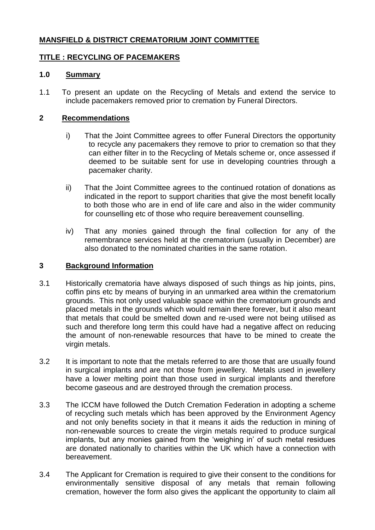# **MANSFIELD & DISTRICT CREMATORIUM JOINT COMMITTEE**

## **TITLE : RECYCLING OF PACEMAKERS**

### **1.0 Summary**

1.1 To present an update on the Recycling of Metals and extend the service to include pacemakers removed prior to cremation by Funeral Directors.

### **2 Recommendations**

- i) That the Joint Committee agrees to offer Funeral Directors the opportunity to recycle any pacemakers they remove to prior to cremation so that they can either filter in to the Recycling of Metals scheme or, once assessed if deemed to be suitable sent for use in developing countries through a pacemaker charity.
- ii) That the Joint Committee agrees to the continued rotation of donations as indicated in the report to support charities that give the most benefit locally to both those who are in end of life care and also in the wider community for counselling etc of those who require bereavement counselling.
- iv) That any monies gained through the final collection for any of the remembrance services held at the crematorium (usually in December) are also donated to the nominated charities in the same rotation.

#### **3 Background Information**

- 3.1 Historically crematoria have always disposed of such things as hip joints, pins, coffin pins etc by means of burying in an unmarked area within the crematorium grounds. This not only used valuable space within the crematorium grounds and placed metals in the grounds which would remain there forever, but it also meant that metals that could be smelted down and re-used were not being utilised as such and therefore long term this could have had a negative affect on reducing the amount of non-renewable resources that have to be mined to create the virgin metals.
- 3.2 It is important to note that the metals referred to are those that are usually found in surgical implants and are not those from jewellery. Metals used in jewellery have a lower melting point than those used in surgical implants and therefore become gaseous and are destroyed through the cremation process.
- 3.3 The ICCM have followed the Dutch Cremation Federation in adopting a scheme of recycling such metals which has been approved by the Environment Agency and not only benefits society in that it means it aids the reduction in mining of non-renewable sources to create the virgin metals required to produce surgical implants, but any monies gained from the 'weighing in' of such metal residues are donated nationally to charities within the UK which have a connection with bereavement.
- 3.4 The Applicant for Cremation is required to give their consent to the conditions for environmentally sensitive disposal of any metals that remain following cremation, however the form also gives the applicant the opportunity to claim all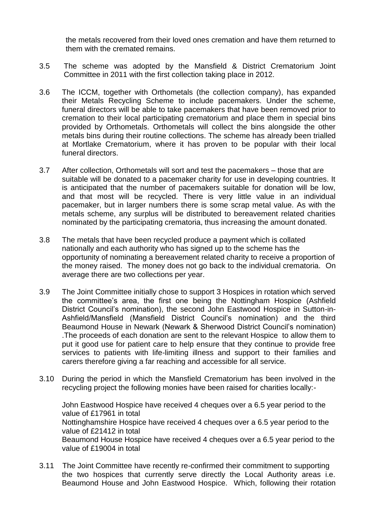the metals recovered from their loved ones cremation and have them returned to them with the cremated remains.

- 3.5 The scheme was adopted by the Mansfield & District Crematorium Joint Committee in 2011 with the first collection taking place in 2012.
- 3.6 The ICCM, together with Orthometals (the collection company), has expanded their Metals Recycling Scheme to include pacemakers. Under the scheme, funeral directors will be able to take pacemakers that have been removed prior to cremation to their local participating crematorium and place them in special bins provided by Orthometals. Orthometals will collect the bins alongside the other metals bins during their routine collections. The scheme has already been trialled at Mortlake Crematorium, where it has proven to be popular with their local funeral directors.
- 3.7 After collection, Orthometals will sort and test the pacemakers those that are suitable will be donated to a pacemaker charity for use in developing countries. It is anticipated that the number of pacemakers suitable for donation will be low, and that most will be recycled. There is very little value in an individual pacemaker, but in larger numbers there is some scrap metal value. As with the metals scheme, any surplus will be distributed to bereavement related charities nominated by the participating crematoria, thus increasing the amount donated.
- 3.8 The metals that have been recycled produce a payment which is collated nationally and each authority who has signed up to the scheme has the opportunity of nominating a bereavement related charity to receive a proportion of the money raised. The money does not go back to the individual crematoria. On average there are two collections per year.
- 3.9 The Joint Committee initially chose to support 3 Hospices in rotation which served the committee's area, the first one being the Nottingham Hospice (Ashfield District Council's nomination), the second John Eastwood Hospice in Sutton-in-Ashfield/Mansfield (Mansfield District Council's nomination) and the third Beaumond House in Newark (Newark & Sherwood District Council's nomination) .The proceeds of each donation are sent to the relevant Hospice to allow them to put it good use for patient care to help ensure that they continue to provide free services to patients with life-limiting illness and support to their families and carers therefore giving a far reaching and accessible for all service.
- 3.10 During the period in which the Mansfield Crematorium has been involved in the recycling project the following monies have been raised for charities locally:-

John Eastwood Hospice have received 4 cheques over a 6.5 year period to the value of £17961 in total Nottinghamshire Hospice have received 4 cheques over a 6.5 year period to the value of £21412 in total Beaumond House Hospice have received 4 cheques over a 6.5 year period to the value of £19004 in total

3.11 The Joint Committee have recently re-confirmed their commitment to supporting the two hospices that currently serve directly the Local Authority areas i.e. Beaumond House and John Eastwood Hospice. Which, following their rotation